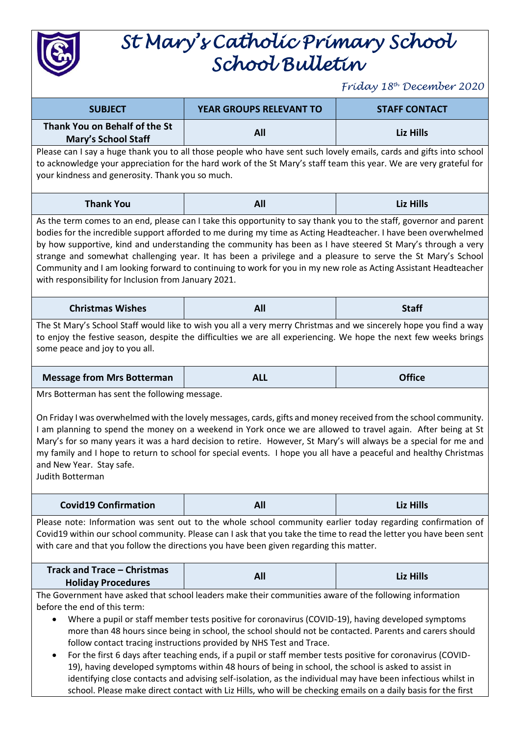

## *St Mary's Catholic Primary School School Bulletin*

*Friday 18th December 2020*

| <b>SUBJECT</b>                                                                                                                                                                                                                                                                                                                                                                                                                                                                                                                                                                                                                                | YEAR GROUPS RELEVANT TO                                                                                 | <b>STAFF CONTACT</b> |
|-----------------------------------------------------------------------------------------------------------------------------------------------------------------------------------------------------------------------------------------------------------------------------------------------------------------------------------------------------------------------------------------------------------------------------------------------------------------------------------------------------------------------------------------------------------------------------------------------------------------------------------------------|---------------------------------------------------------------------------------------------------------|----------------------|
| Thank You on Behalf of the St                                                                                                                                                                                                                                                                                                                                                                                                                                                                                                                                                                                                                 | <b>All</b>                                                                                              | Liz Hills            |
| <b>Mary's School Staff</b>                                                                                                                                                                                                                                                                                                                                                                                                                                                                                                                                                                                                                    |                                                                                                         |                      |
| Please can I say a huge thank you to all those people who have sent such lovely emails, cards and gifts into school<br>to acknowledge your appreciation for the hard work of the St Mary's staff team this year. We are very grateful for<br>your kindness and generosity. Thank you so much.                                                                                                                                                                                                                                                                                                                                                 |                                                                                                         |                      |
| <b>Thank You</b>                                                                                                                                                                                                                                                                                                                                                                                                                                                                                                                                                                                                                              | All                                                                                                     | <b>Liz Hills</b>     |
| As the term comes to an end, please can I take this opportunity to say thank you to the staff, governor and parent<br>bodies for the incredible support afforded to me during my time as Acting Headteacher. I have been overwhelmed<br>by how supportive, kind and understanding the community has been as I have steered St Mary's through a very<br>strange and somewhat challenging year. It has been a privilege and a pleasure to serve the St Mary's School<br>Community and I am looking forward to continuing to work for you in my new role as Acting Assistant Headteacher<br>with responsibility for Inclusion from January 2021. |                                                                                                         |                      |
| <b>Christmas Wishes</b>                                                                                                                                                                                                                                                                                                                                                                                                                                                                                                                                                                                                                       | All                                                                                                     | <b>Staff</b>         |
| The St Mary's School Staff would like to wish you all a very merry Christmas and we sincerely hope you find a way<br>to enjoy the festive season, despite the difficulties we are all experiencing. We hope the next few weeks brings<br>some peace and joy to you all.                                                                                                                                                                                                                                                                                                                                                                       |                                                                                                         |                      |
| <b>Message from Mrs Botterman</b>                                                                                                                                                                                                                                                                                                                                                                                                                                                                                                                                                                                                             | <b>ALL</b>                                                                                              | <b>Office</b>        |
| Mrs Botterman has sent the following message.<br>On Friday I was overwhelmed with the lovely messages, cards, gifts and money received from the school community.<br>I am planning to spend the money on a weekend in York once we are allowed to travel again. After being at St<br>Mary's for so many years it was a hard decision to retire. However, St Mary's will always be a special for me and<br>my family and I hope to return to school for special events. I hope you all have a peaceful and healthy Christmas<br>and New Year. Stay safe.<br>Judith Botterman                                                                   |                                                                                                         |                      |
| <b>Covid19 Confirmation</b>                                                                                                                                                                                                                                                                                                                                                                                                                                                                                                                                                                                                                   | All                                                                                                     | <b>Liz Hills</b>     |
| Please note: Information was sent out to the whole school community earlier today regarding confirmation of<br>Covid19 within our school community. Please can I ask that you take the time to read the letter you have been sent<br>with care and that you follow the directions you have been given regarding this matter.                                                                                                                                                                                                                                                                                                                  |                                                                                                         |                      |
| <b>Track and Trace - Christmas</b>                                                                                                                                                                                                                                                                                                                                                                                                                                                                                                                                                                                                            | All                                                                                                     | <b>Liz Hills</b>     |
| <b>Holiday Procedures</b>                                                                                                                                                                                                                                                                                                                                                                                                                                                                                                                                                                                                                     |                                                                                                         |                      |
|                                                                                                                                                                                                                                                                                                                                                                                                                                                                                                                                                                                                                                               | The Government have asked that school leaders make their communities aware of the following information |                      |
| before the end of this term:                                                                                                                                                                                                                                                                                                                                                                                                                                                                                                                                                                                                                  |                                                                                                         |                      |
| Where a pupil or staff member tests positive for coronavirus (COVID-19), having developed symptoms<br>more than 48 hours since being in school, the school should not be contacted. Parents and carers should                                                                                                                                                                                                                                                                                                                                                                                                                                 |                                                                                                         |                      |
| follow contact tracing instructions provided by NHS Test and Trace.                                                                                                                                                                                                                                                                                                                                                                                                                                                                                                                                                                           |                                                                                                         |                      |
| For the first 6 days after teaching ends, if a pupil or staff member tests positive for coronavirus (COVID-<br>٠                                                                                                                                                                                                                                                                                                                                                                                                                                                                                                                              |                                                                                                         |                      |
| 19), having developed symptoms within 48 hours of being in school, the school is asked to assist in                                                                                                                                                                                                                                                                                                                                                                                                                                                                                                                                           |                                                                                                         |                      |

identifying close contacts and advising self-isolation, as the individual may have been infectious whilst in school. Please make direct contact with Liz Hills, who will be checking emails on a daily basis for the first